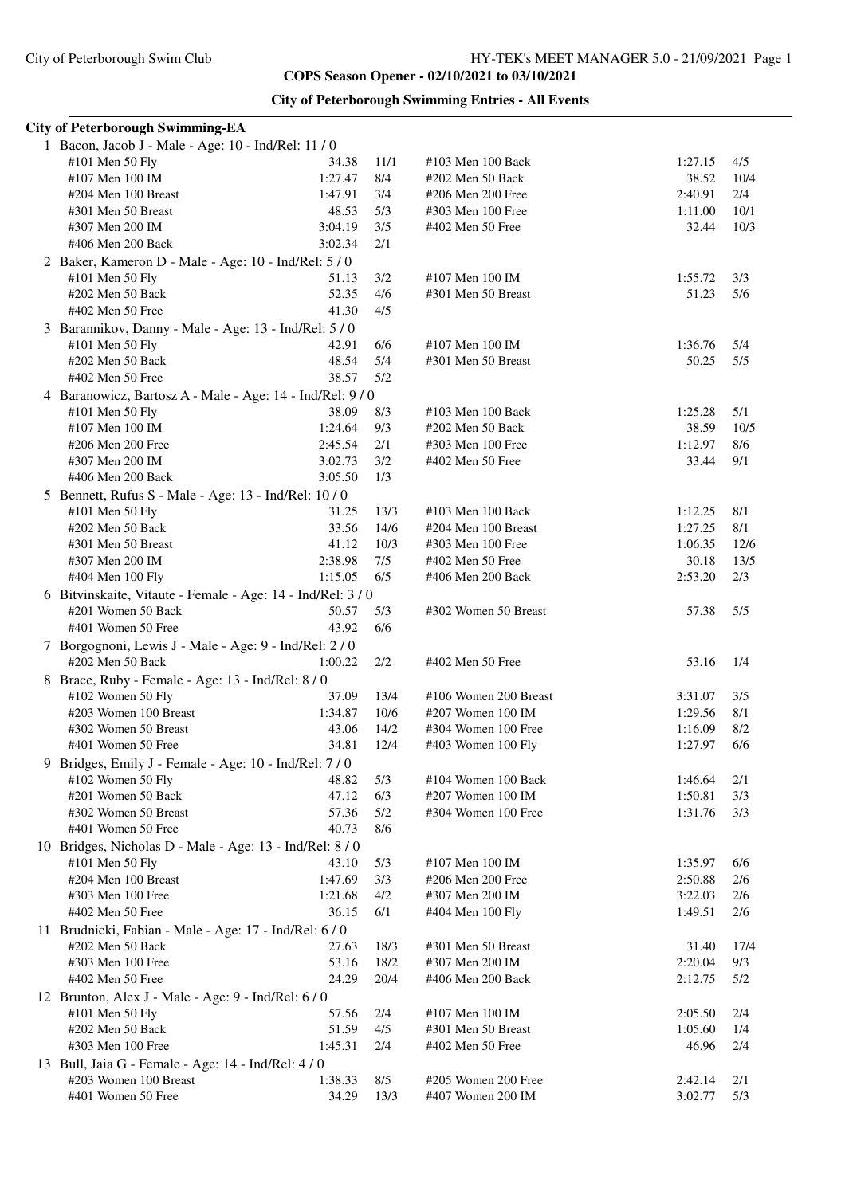| <b>City of Peterborough Swimming Entries - All Events</b> |  |  |  |
|-----------------------------------------------------------|--|--|--|
|-----------------------------------------------------------|--|--|--|

|   | <b>City of Peterborough Swimming-EA</b>                     |         |       |                       |         |      |
|---|-------------------------------------------------------------|---------|-------|-----------------------|---------|------|
|   | 1 Bacon, Jacob J - Male - Age: 10 - Ind/Rel: 11 / 0         |         |       |                       |         |      |
|   | #101 Men 50 Fly                                             | 34.38   | 11/1  | #103 Men 100 Back     | 1:27.15 | 4/5  |
|   | #107 Men 100 IM                                             | 1:27.47 | 8/4   | #202 Men 50 Back      | 38.52   | 10/4 |
|   | #204 Men 100 Breast                                         | 1:47.91 | 3/4   | #206 Men 200 Free     | 2:40.91 | 2/4  |
|   | #301 Men 50 Breast                                          | 48.53   | 5/3   | #303 Men 100 Free     | 1:11.00 | 10/1 |
|   | #307 Men 200 IM                                             | 3:04.19 | 3/5   | #402 Men 50 Free      | 32.44   | 10/3 |
|   | #406 Men 200 Back                                           | 3:02.34 | 2/1   |                       |         |      |
|   |                                                             |         |       |                       |         |      |
|   | 2 Baker, Kameron D - Male - Age: 10 - Ind/Rel: 5 / 0        |         |       |                       |         |      |
|   | #101 Men 50 Fly                                             | 51.13   | 3/2   | #107 Men 100 IM       | 1:55.72 | 3/3  |
|   | #202 Men 50 Back                                            | 52.35   | 4/6   | #301 Men 50 Breast    | 51.23   | 5/6  |
|   | #402 Men 50 Free                                            | 41.30   | 4/5   |                       |         |      |
|   | 3 Barannikov, Danny - Male - Age: 13 - Ind/Rel: 5 / 0       |         |       |                       |         |      |
|   | #101 Men 50 Fly                                             | 42.91   | 6/6   | #107 Men 100 IM       | 1:36.76 | 5/4  |
|   | #202 Men 50 Back                                            | 48.54   | 5/4   | #301 Men 50 Breast    | 50.25   | 5/5  |
|   | #402 Men 50 Free                                            | 38.57   | 5/2   |                       |         |      |
|   | 4 Baranowicz, Bartosz A - Male - Age: 14 - Ind/Rel: 9/0     |         |       |                       |         |      |
|   | #101 Men 50 Fly                                             | 38.09   | 8/3   | #103 Men 100 Back     | 1:25.28 | 5/1  |
|   | #107 Men 100 IM                                             | 1:24.64 | 9/3   | #202 Men 50 Back      | 38.59   | 10/5 |
|   | #206 Men 200 Free                                           | 2:45.54 | 2/1   | #303 Men 100 Free     | 1:12.97 | 8/6  |
|   |                                                             |         |       |                       |         |      |
|   | #307 Men 200 IM                                             | 3:02.73 | 3/2   | #402 Men 50 Free      | 33.44   | 9/1  |
|   | #406 Men 200 Back                                           | 3:05.50 | 1/3   |                       |         |      |
|   | 5 Bennett, Rufus S - Male - Age: 13 - Ind/Rel: 10 / 0       |         |       |                       |         |      |
|   | #101 Men 50 Fly                                             | 31.25   | 13/3  | #103 Men 100 Back     | 1:12.25 | 8/1  |
|   | #202 Men 50 Back                                            | 33.56   | 14/6  | #204 Men 100 Breast   | 1:27.25 | 8/1  |
|   | #301 Men 50 Breast                                          | 41.12   | 10/3  | #303 Men 100 Free     | 1:06.35 | 12/6 |
|   | #307 Men 200 IM                                             | 2:38.98 | 7/5   | #402 Men 50 Free      | 30.18   | 13/5 |
|   | #404 Men 100 Fly                                            | 1:15.05 | 6/5   | #406 Men 200 Back     | 2:53.20 | 2/3  |
|   | 6 Bitvinskaite, Vitaute - Female - Age: 14 - Ind/Rel: 3 / 0 |         |       |                       |         |      |
|   | #201 Women 50 Back                                          | 50.57   | 5/3   | #302 Women 50 Breast  | 57.38   | 5/5  |
|   | #401 Women 50 Free                                          | 43.92   | 6/6   |                       |         |      |
|   | 7 Borgognoni, Lewis J - Male - Age: 9 - Ind/Rel: 2/0        |         |       |                       |         |      |
|   | #202 Men 50 Back                                            | 1:00.22 | 2/2   | #402 Men 50 Free      | 53.16   | 1/4  |
|   |                                                             |         |       |                       |         |      |
|   | 8 Brace, Ruby - Female - Age: 13 - Ind/Rel: 8 / 0           |         |       |                       |         |      |
|   | #102 Women 50 Fly                                           | 37.09   | 13/4  | #106 Women 200 Breast | 3:31.07 | 3/5  |
|   | #203 Women 100 Breast                                       | 1:34.87 | 10/6  | #207 Women 100 IM     | 1:29.56 | 8/1  |
|   | #302 Women 50 Breast                                        | 43.06   | 14/2  | #304 Women 100 Free   | 1:16.09 | 8/2  |
|   | #401 Women 50 Free                                          | 34.81   | 12/4  | #403 Women 100 Fly    | 1:27.97 | 6/6  |
| 9 | Bridges, Emily J - Female - Age: 10 - Ind/Rel: 7/0          |         |       |                       |         |      |
|   | #102 Women 50 Fly                                           | 48.82   | 5/3   | #104 Women 100 Back   | 1:46.64 | 2/1  |
|   | #201 Women 50 Back                                          | 47.12   | 6/3   | #207 Women 100 IM     | 1:50.81 | 3/3  |
|   | #302 Women 50 Breast                                        | 57.36   | $5/2$ | #304 Women 100 Free   | 1:31.76 | 3/3  |
|   | #401 Women 50 Free                                          | 40.73   | 8/6   |                       |         |      |
|   |                                                             |         |       |                       |         |      |
|   | 10 Bridges, Nicholas D - Male - Age: 13 - Ind/Rel: 8 / 0    |         |       |                       |         |      |
|   | #101 Men 50 Fly                                             | 43.10   | 5/3   | #107 Men 100 IM       | 1:35.97 | 6/6  |
|   | #204 Men 100 Breast                                         | 1:47.69 | 3/3   | #206 Men 200 Free     | 2:50.88 | 2/6  |
|   | #303 Men 100 Free                                           | 1:21.68 | 4/2   | #307 Men 200 IM       | 3:22.03 | 2/6  |
|   | #402 Men 50 Free                                            | 36.15   | 6/1   | #404 Men 100 Fly      | 1:49.51 | 2/6  |
|   | 11 Brudnicki, Fabian - Male - Age: 17 - Ind/Rel: 6/0        |         |       |                       |         |      |
|   | #202 Men 50 Back                                            | 27.63   | 18/3  | #301 Men 50 Breast    | 31.40   | 17/4 |
|   | #303 Men 100 Free                                           | 53.16   | 18/2  | #307 Men 200 IM       | 2:20.04 | 9/3  |
|   | #402 Men 50 Free                                            | 24.29   | 20/4  | #406 Men 200 Back     | 2:12.75 | 5/2  |
|   | 12 Brunton, Alex J - Male - Age: 9 - Ind/Rel: 6 / 0         |         |       |                       |         |      |
|   | #101 Men 50 Fly                                             | 57.56   | 2/4   | #107 Men 100 IM       | 2:05.50 | 2/4  |
|   | #202 Men 50 Back                                            | 51.59   | 4/5   | #301 Men 50 Breast    | 1:05.60 | 1/4  |
|   | #303 Men 100 Free                                           | 1:45.31 | 2/4   | #402 Men 50 Free      | 46.96   | 2/4  |
|   |                                                             |         |       |                       |         |      |
|   | 13 Bull, Jaia G - Female - Age: 14 - Ind/Rel: 4/0           |         |       |                       |         |      |
|   | #203 Women 100 Breast                                       | 1:38.33 | 8/5   | #205 Women 200 Free   | 2:42.14 | 2/1  |
|   | #401 Women 50 Free                                          | 34.29   | 13/3  | #407 Women 200 IM     | 3:02.77 | 5/3  |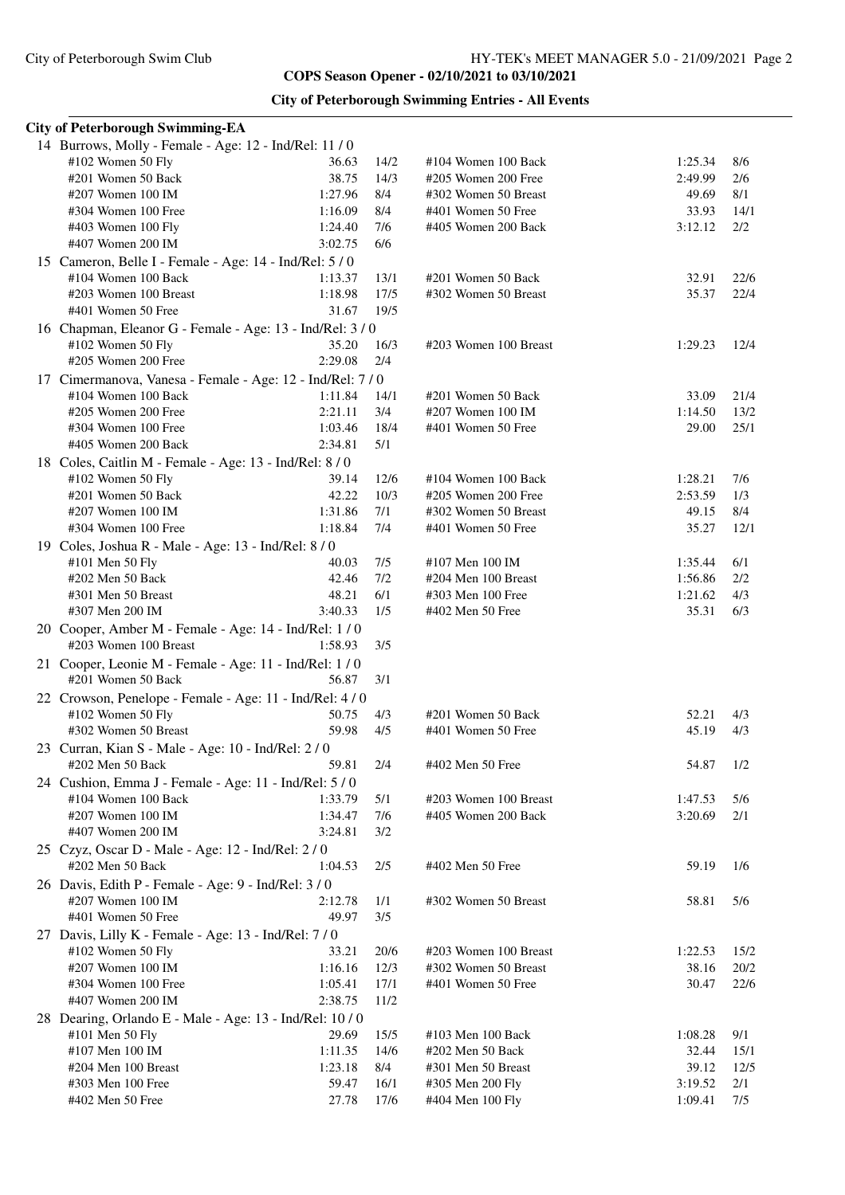| <b>City of Peterborough Swimming Entries - All Events</b> |  |  |  |
|-----------------------------------------------------------|--|--|--|
|-----------------------------------------------------------|--|--|--|

| <b>City of Peterborough Swimming-EA</b>                                       |         |       |                       |         |      |
|-------------------------------------------------------------------------------|---------|-------|-----------------------|---------|------|
| 14 Burrows, Molly - Female - Age: 12 - Ind/Rel: 11 / 0                        |         |       |                       |         |      |
| #102 Women 50 Fly                                                             | 36.63   | 14/2  | #104 Women 100 Back   | 1:25.34 | 8/6  |
| #201 Women 50 Back                                                            | 38.75   | 14/3  | #205 Women 200 Free   | 2:49.99 | 2/6  |
| #207 Women 100 IM                                                             | 1:27.96 | 8/4   | #302 Women 50 Breast  | 49.69   | 8/1  |
| #304 Women 100 Free                                                           | 1:16.09 | 8/4   | #401 Women 50 Free    | 33.93   | 14/1 |
| #403 Women 100 Fly                                                            | 1:24.40 | 7/6   | #405 Women 200 Back   | 3:12.12 | 2/2  |
| #407 Women 200 IM                                                             | 3:02.75 | 6/6   |                       |         |      |
| 15 Cameron, Belle I - Female - Age: 14 - Ind/Rel: 5 / 0                       |         |       |                       |         |      |
| #104 Women 100 Back                                                           | 1:13.37 | 13/1  | #201 Women 50 Back    | 32.91   | 22/6 |
| #203 Women 100 Breast                                                         | 1:18.98 | 17/5  | #302 Women 50 Breast  | 35.37   | 22/4 |
| #401 Women 50 Free                                                            | 31.67   | 19/5  |                       |         |      |
| 16 Chapman, Eleanor G - Female - Age: 13 - Ind/Rel: 3/0                       |         |       |                       |         |      |
| #102 Women 50 Fly                                                             | 35.20   | 16/3  | #203 Women 100 Breast | 1:29.23 | 12/4 |
| #205 Women 200 Free                                                           | 2:29.08 | 2/4   |                       |         |      |
|                                                                               |         |       |                       |         |      |
| 17 Cimermanova, Vanesa - Female - Age: 12 - Ind/Rel: 7/0                      |         |       |                       |         |      |
| #104 Women 100 Back                                                           | 1:11.84 | 14/1  | #201 Women 50 Back    | 33.09   | 21/4 |
| #205 Women 200 Free                                                           | 2:21.11 | 3/4   | #207 Women 100 IM     | 1:14.50 | 13/2 |
| #304 Women 100 Free                                                           | 1:03.46 | 18/4  | #401 Women 50 Free    | 29.00   | 25/1 |
| #405 Women 200 Back                                                           | 2:34.81 | 5/1   |                       |         |      |
| 18 Coles, Caitlin M - Female - Age: 13 - Ind/Rel: 8 / 0                       |         |       |                       |         |      |
| #102 Women 50 Fly                                                             | 39.14   | 12/6  | #104 Women 100 Back   | 1:28.21 | 7/6  |
| #201 Women 50 Back                                                            | 42.22   | 10/3  | #205 Women 200 Free   | 2:53.59 | 1/3  |
| #207 Women 100 IM                                                             | 1:31.86 | 7/1   | #302 Women 50 Breast  | 49.15   | 8/4  |
| #304 Women 100 Free                                                           | 1:18.84 | 7/4   | #401 Women 50 Free    | 35.27   | 12/1 |
| 19 Coles, Joshua R - Male - Age: 13 - Ind/Rel: 8 / 0                          |         |       |                       |         |      |
| #101 Men 50 Fly                                                               | 40.03   | 7/5   | #107 Men 100 IM       | 1:35.44 | 6/1  |
| #202 Men 50 Back                                                              | 42.46   | $7/2$ | #204 Men 100 Breast   | 1:56.86 | 2/2  |
| #301 Men 50 Breast                                                            | 48.21   | 6/1   | #303 Men 100 Free     | 1:21.62 | 4/3  |
| #307 Men 200 IM                                                               | 3:40.33 | 1/5   | #402 Men 50 Free      | 35.31   | 6/3  |
| 20 Cooper, Amber M - Female - Age: 14 - Ind/Rel: 1/0<br>#203 Women 100 Breast | 1:58.93 | 3/5   |                       |         |      |
| 21 Cooper, Leonie M - Female - Age: 11 - Ind/Rel: 1/0                         |         |       |                       |         |      |
| #201 Women 50 Back                                                            | 56.87   | 3/1   |                       |         |      |
| 22 Crowson, Penelope - Female - Age: 11 - Ind/Rel: 4/0                        |         |       |                       |         |      |
| #102 Women 50 Fly                                                             | 50.75   | 4/3   | #201 Women 50 Back    | 52.21   | 4/3  |
| #302 Women 50 Breast                                                          | 59.98   | 4/5   | #401 Women 50 Free    | 45.19   | 4/3  |
| 23 Curran, Kian S - Male - Age: 10 - Ind/Rel: 2/0                             |         |       |                       |         |      |
| #202 Men 50 Back                                                              | 59.81   | 2/4   | #402 Men 50 Free      | 54.87   | 1/2  |
| 24 Cushion, Emma J - Female - Age: 11 - Ind/Rel: 5 / 0                        |         |       |                       |         |      |
| #104 Women 100 Back                                                           | 1:33.79 | 5/1   | #203 Women 100 Breast | 1:47.53 | 5/6  |
| #207 Women 100 IM                                                             | 1:34.47 | 7/6   | #405 Women 200 Back   | 3:20.69 | 2/1  |
| #407 Women 200 IM                                                             | 3:24.81 | 3/2   |                       |         |      |
|                                                                               |         |       |                       |         |      |
| 25 Czyz, Oscar D - Male - Age: 12 - Ind/Rel: 2/0<br>#202 Men 50 Back          |         |       |                       |         |      |
|                                                                               | 1:04.53 | 2/5   | #402 Men 50 Free      | 59.19   | 1/6  |
| 26 Davis, Edith P - Female - Age: 9 - Ind/Rel: 3/0                            |         |       |                       |         |      |
| #207 Women 100 IM                                                             | 2:12.78 | 1/1   | #302 Women 50 Breast  | 58.81   | 5/6  |
| #401 Women 50 Free                                                            | 49.97   | 3/5   |                       |         |      |
| 27 Davis, Lilly K - Female - Age: 13 - Ind/Rel: 7/0                           |         |       |                       |         |      |
| $#102$ Women 50 Fly                                                           | 33.21   | 20/6  | #203 Women 100 Breast | 1:22.53 | 15/2 |
| #207 Women 100 IM                                                             | 1:16.16 | 12/3  | #302 Women 50 Breast  | 38.16   | 20/2 |
| #304 Women 100 Free                                                           | 1:05.41 | 17/1  | #401 Women 50 Free    | 30.47   | 22/6 |
| #407 Women 200 IM                                                             | 2:38.75 | 11/2  |                       |         |      |
| 28 Dearing, Orlando E - Male - Age: 13 - Ind/Rel: 10/0                        |         |       |                       |         |      |
| #101 Men 50 Fly                                                               | 29.69   | 15/5  | #103 Men 100 Back     | 1:08.28 | 9/1  |
| #107 Men 100 IM                                                               | 1:11.35 | 14/6  | #202 Men 50 Back      | 32.44   | 15/1 |
| #204 Men 100 Breast                                                           | 1:23.18 | 8/4   | #301 Men 50 Breast    | 39.12   | 12/5 |
| #303 Men 100 Free                                                             | 59.47   | 16/1  | #305 Men 200 Fly      | 3:19.52 | 2/1  |
| #402 Men 50 Free                                                              | 27.78   | 17/6  | #404 Men 100 Fly      | 1:09.41 | 7/5  |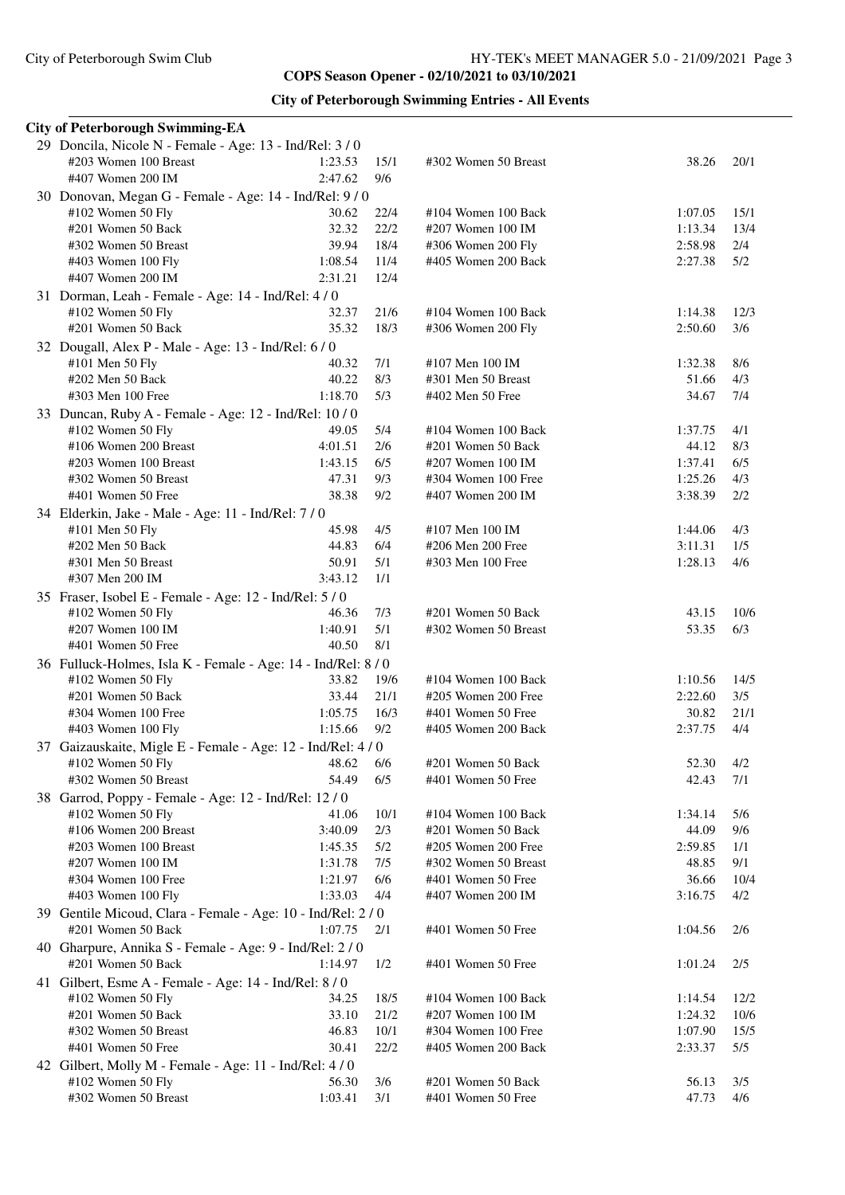## **City of Peterborough Swimming Entries - All Events**

| <b>City of Peterborough Swimming-EA</b>                                |                    |      |                                          |                  |      |
|------------------------------------------------------------------------|--------------------|------|------------------------------------------|------------------|------|
| 29 Doncila, Nicole N - Female - Age: 13 - Ind/Rel: 3/0                 |                    |      |                                          |                  |      |
| #203 Women 100 Breast                                                  | 1:23.53            | 15/1 | #302 Women 50 Breast                     | 38.26            | 20/1 |
| #407 Women 200 IM                                                      | 2:47.62            | 9/6  |                                          |                  |      |
| 30 Donovan, Megan G - Female - Age: 14 - Ind/Rel: 9/0                  |                    |      |                                          |                  |      |
| #102 Women 50 Fly                                                      | 30.62              | 22/4 | #104 Women 100 Back                      | 1:07.05          | 15/1 |
| #201 Women 50 Back                                                     | 32.32              | 22/2 | #207 Women 100 IM                        | 1:13.34          | 13/4 |
| #302 Women 50 Breast                                                   | 39.94              | 18/4 | #306 Women 200 Fly                       | 2:58.98          | 2/4  |
| #403 Women 100 Fly                                                     | 1:08.54            | 11/4 | #405 Women 200 Back                      | 2:27.38          | 5/2  |
| #407 Women 200 IM                                                      | 2:31.21            | 12/4 |                                          |                  |      |
| 31 Dorman, Leah - Female - Age: 14 - Ind/Rel: 4/0                      |                    |      |                                          |                  |      |
| #102 Women 50 Fly                                                      | 32.37              | 21/6 | #104 Women 100 Back                      | 1:14.38          | 12/3 |
| #201 Women 50 Back                                                     | 35.32              | 18/3 | #306 Women 200 Fly                       | 2:50.60          | 3/6  |
| 32 Dougall, Alex P - Male - Age: 13 - Ind/Rel: 6 / 0                   |                    |      |                                          |                  |      |
| #101 Men 50 Fly                                                        | 40.32              | 7/1  | #107 Men 100 IM                          | 1:32.38          | 8/6  |
| #202 Men 50 Back                                                       | 40.22              | 8/3  | #301 Men 50 Breast                       | 51.66            | 4/3  |
| #303 Men 100 Free                                                      | 1:18.70            | 5/3  | #402 Men 50 Free                         | 34.67            | 7/4  |
| 33 Duncan, Ruby A - Female - Age: 12 - Ind/Rel: 10/0                   |                    |      |                                          |                  |      |
| #102 Women 50 Fly                                                      | 49.05              | 5/4  | #104 Women 100 Back                      | 1:37.75          | 4/1  |
| #106 Women 200 Breast                                                  | 4:01.51            | 2/6  | #201 Women 50 Back                       | 44.12            | 8/3  |
| #203 Women 100 Breast                                                  | 1:43.15            | 6/5  | #207 Women 100 IM                        | 1:37.41          | 6/5  |
| #302 Women 50 Breast                                                   | 47.31              | 9/3  | #304 Women 100 Free                      | 1:25.26          | 4/3  |
| #401 Women 50 Free                                                     | 38.38              | 9/2  | #407 Women 200 IM                        | 3:38.39          | 2/2  |
|                                                                        |                    |      |                                          |                  |      |
| 34 Elderkin, Jake - Male - Age: 11 - Ind/Rel: 7 / 0<br>#101 Men 50 Fly | 45.98              | 4/5  | #107 Men 100 IM                          | 1:44.06          | 4/3  |
| #202 Men 50 Back                                                       | 44.83              | 6/4  | #206 Men 200 Free                        | 3:11.31          | 1/5  |
| #301 Men 50 Breast                                                     | 50.91              | 5/1  | #303 Men 100 Free                        | 1:28.13          | 4/6  |
| #307 Men 200 IM                                                        | 3:43.12            | 1/1  |                                          |                  |      |
|                                                                        |                    |      |                                          |                  |      |
| 35 Fraser, Isobel E - Female - Age: 12 - Ind/Rel: 5 / 0                | 46.36              | 7/3  | #201 Women 50 Back                       | 43.15            | 10/6 |
| #102 Women 50 Fly<br>#207 Women 100 IM                                 | 1:40.91            | 5/1  |                                          |                  |      |
| #401 Women 50 Free                                                     | 40.50              | 8/1  | #302 Women 50 Breast                     | 53.35            | 6/3  |
|                                                                        |                    |      |                                          |                  |      |
| 36 Fulluck-Holmes, Isla K - Female - Age: 14 - Ind/Rel: 8 / 0          |                    |      | #104 Women 100 Back                      | 1:10.56          |      |
| #102 Women 50 Fly<br>#201 Women 50 Back                                | 33.82              | 19/6 | #205 Women 200 Free                      | 2:22.60          | 14/5 |
|                                                                        | 33.44              | 21/1 |                                          |                  | 3/5  |
| #304 Women 100 Free                                                    | 1:05.75<br>1:15.66 | 16/3 | #401 Women 50 Free                       | 30.82<br>2:37.75 | 21/1 |
| #403 Women 100 Fly                                                     |                    | 9/2  | #405 Women 200 Back                      |                  | 4/4  |
| 37 Gaizauskaite, Migle E - Female - Age: 12 - Ind/Rel: 4 / 0           |                    |      |                                          |                  |      |
| #102 Women 50 Fly                                                      | 48.62              | 6/6  | #201 Women 50 Back<br>#401 Women 50 Free | 52.30            | 4/2  |
| #302 Women 50 Breast                                                   | 54.49              | 6/5  |                                          | 42.43            | 7/1  |
| 38 Garrod, Poppy - Female - Age: 12 - Ind/Rel: 12 / 0                  |                    |      |                                          |                  |      |
| #102 Women 50 Fly<br>#106 Women 200 Breast                             | 41.06              | 10/1 | #104 Women 100 Back                      | 1:34.14<br>44.09 | 5/6  |
|                                                                        | 3:40.09            | 2/3  | #201 Women 50 Back                       |                  | 9/6  |
| #203 Women 100 Breast                                                  | 1:45.35            | 5/2  | #205 Women 200 Free                      | 2:59.85          | 1/1  |
| #207 Women 100 IM<br>#304 Women 100 Free                               | 1:31.78            | 7/5  | #302 Women 50 Breast                     | 48.85            | 9/1  |
|                                                                        | 1:21.97<br>1:33.03 | 6/6  | #401 Women 50 Free                       | 36.66            | 10/4 |
| #403 Women 100 Fly                                                     |                    | 4/4  | #407 Women 200 IM                        | 3:16.75          | 4/2  |
| 39 Gentile Micoud, Clara - Female - Age: 10 - Ind/Rel: 2/0             |                    |      |                                          |                  |      |
| #201 Women 50 Back                                                     | 1:07.75            | 2/1  | #401 Women 50 Free                       | 1:04.56          | 2/6  |
| 40 Gharpure, Annika S - Female - Age: 9 - Ind/Rel: 2/0                 |                    |      |                                          |                  |      |
| #201 Women 50 Back                                                     | 1:14.97            | 1/2  | #401 Women 50 Free                       | 1:01.24          | 2/5  |
| 41 Gilbert, Esme A - Female - Age: 14 - Ind/Rel: 8 / 0                 |                    |      |                                          |                  |      |
| #102 Women 50 Fly                                                      | 34.25              | 18/5 | #104 Women 100 Back                      | 1:14.54          | 12/2 |
| #201 Women 50 Back                                                     | 33.10              | 21/2 | #207 Women 100 IM                        | 1:24.32          | 10/6 |
| #302 Women 50 Breast                                                   | 46.83              | 10/1 | #304 Women 100 Free                      | 1:07.90          | 15/5 |
| #401 Women 50 Free                                                     | 30.41              | 22/2 | #405 Women 200 Back                      | 2:33.37          | 5/5  |
| 42 Gilbert, Molly M - Female - Age: 11 - Ind/Rel: 4/0                  |                    |      |                                          |                  |      |
| #102 Women 50 Fly                                                      | 56.30              | 3/6  | #201 Women 50 Back                       | 56.13            | 3/5  |
| #302 Women 50 Breast                                                   | 1:03.41            | 3/1  | #401 Women 50 Free                       | 47.73            | 4/6  |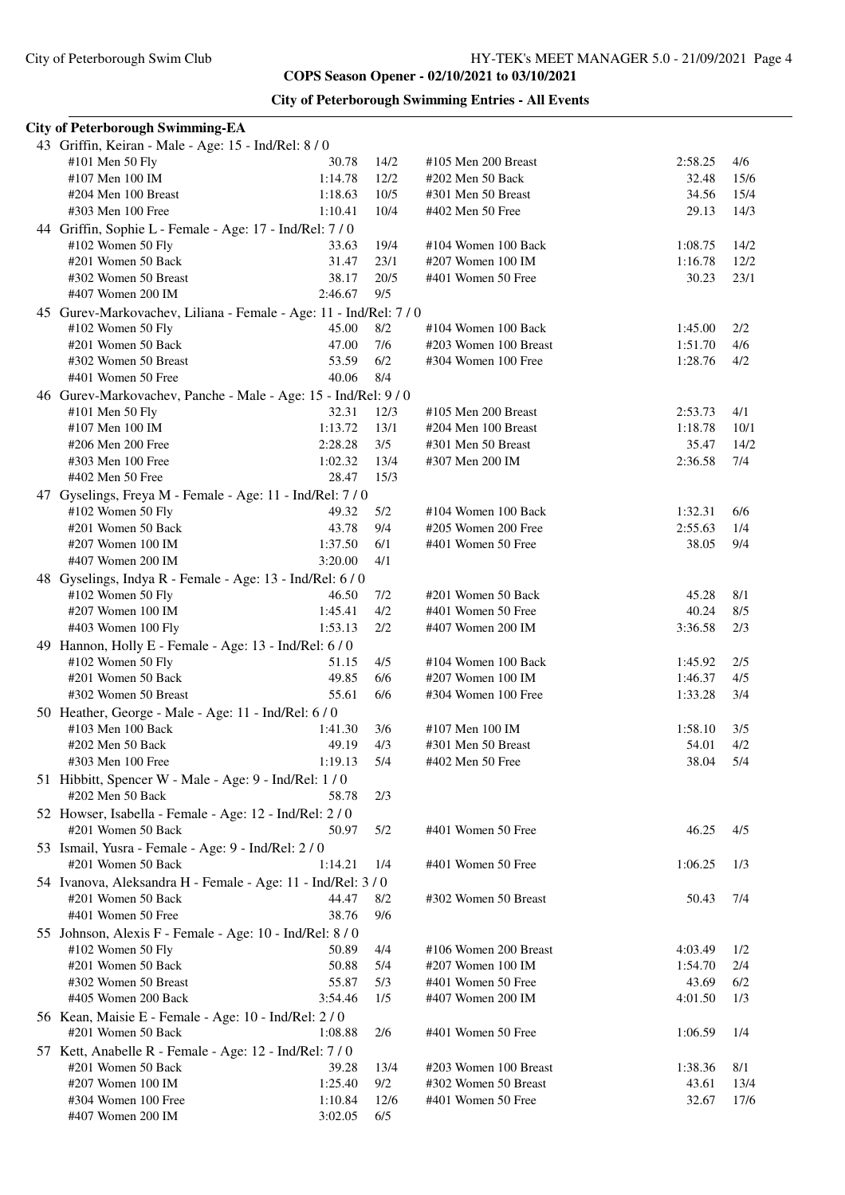| <b>City of Peterborough Swimming Entries - All Events</b> |  |  |  |
|-----------------------------------------------------------|--|--|--|
|-----------------------------------------------------------|--|--|--|

| <b>City of Peterborough Swimming-EA</b>                                     |                  |             |                                               |                    |             |
|-----------------------------------------------------------------------------|------------------|-------------|-----------------------------------------------|--------------------|-------------|
| 43 Griffin, Keiran - Male - Age: 15 - Ind/Rel: 8 / 0                        |                  |             |                                               |                    |             |
| #101 Men 50 Fly                                                             | 30.78            | 14/2        | #105 Men 200 Breast                           | 2:58.25            | 4/6         |
| #107 Men 100 IM                                                             | 1:14.78          | 12/2        | #202 Men 50 Back                              | 32.48              | 15/6        |
| #204 Men 100 Breast                                                         | 1:18.63          | 10/5        | #301 Men 50 Breast                            | 34.56              | 15/4        |
| #303 Men 100 Free                                                           | 1:10.41          | 10/4        | #402 Men 50 Free                              | 29.13              | 14/3        |
| 44 Griffin, Sophie L - Female - Age: 17 - Ind/Rel: 7/0                      |                  |             |                                               |                    |             |
| #102 Women 50 Fly                                                           | 33.63            | 19/4        | #104 Women 100 Back                           | 1:08.75            | 14/2        |
| #201 Women 50 Back                                                          | 31.47            | 23/1        | #207 Women 100 IM                             | 1:16.78            | 12/2        |
| #302 Women 50 Breast                                                        | 38.17            | 20/5        | #401 Women 50 Free                            | 30.23              | 23/1        |
| #407 Women 200 IM                                                           | 2:46.67          | 9/5         |                                               |                    |             |
| 45 Gurev-Markovachev, Liliana - Female - Age: 11 - Ind/Rel: 7 / 0           |                  |             |                                               |                    |             |
| #102 Women 50 Fly                                                           | 45.00            | 8/2         | #104 Women 100 Back                           | 1:45.00            | 2/2         |
| #201 Women 50 Back                                                          | 47.00            | 7/6         | #203 Women 100 Breast                         | 1:51.70            | 4/6         |
| #302 Women 50 Breast                                                        | 53.59            | 6/2         | #304 Women 100 Free                           | 1:28.76            | 4/2         |
| #401 Women 50 Free                                                          | 40.06            | 8/4         |                                               |                    |             |
| 46 Gurev-Markovachev, Panche - Male - Age: 15 - Ind/Rel: 9 / 0              |                  |             |                                               |                    |             |
| #101 Men 50 Fly                                                             | 32.31            | 12/3        | #105 Men 200 Breast                           | 2:53.73            | 4/1         |
| #107 Men 100 IM                                                             | 1:13.72          | 13/1        | #204 Men 100 Breast                           | 1:18.78            | 10/1        |
| #206 Men 200 Free                                                           | 2:28.28          | 3/5         | #301 Men 50 Breast                            | 35.47              | 14/2        |
| #303 Men 100 Free                                                           | 1:02.32          | 13/4        | #307 Men 200 IM                               | 2:36.58            | 7/4         |
| #402 Men 50 Free                                                            | 28.47            | 15/3        |                                               |                    |             |
| 47 Gyselings, Freya M - Female - Age: 11 - Ind/Rel: 7/0                     |                  |             |                                               |                    |             |
| #102 Women 50 Fly                                                           | 49.32            | 5/2         | #104 Women 100 Back                           | 1:32.31            | 6/6         |
| #201 Women 50 Back                                                          | 43.78            | 9/4         | #205 Women 200 Free                           | 2:55.63            | 1/4         |
| #207 Women 100 IM<br>#407 Women 200 IM                                      | 1:37.50          | 6/1<br>4/1  | #401 Women 50 Free                            | 38.05              | 9/4         |
|                                                                             | 3:20.00          |             |                                               |                    |             |
| 48 Gyselings, Indya R - Female - Age: 13 - Ind/Rel: 6/0                     |                  |             |                                               |                    |             |
| #102 Women 50 Fly                                                           | 46.50<br>1:45.41 | 7/2<br>4/2  | #201 Women 50 Back<br>#401 Women 50 Free      | 45.28<br>40.24     | 8/1         |
| #207 Women 100 IM                                                           | 1:53.13          |             |                                               |                    | 8/5         |
| #403 Women 100 Fly                                                          |                  | 2/2         | #407 Women 200 IM                             | 3:36.58            | 2/3         |
| 49 Hannon, Holly E - Female - Age: 13 - Ind/Rel: 6 / 0                      |                  |             |                                               |                    |             |
| #102 Women 50 Fly<br>#201 Women 50 Back                                     | 51.15<br>49.85   | 4/5         | #104 Women 100 Back<br>#207 Women 100 IM      | 1:45.92            | 2/5         |
| #302 Women 50 Breast                                                        | 55.61            | 6/6<br>6/6  | #304 Women 100 Free                           | 1:46.37<br>1:33.28 | 4/5<br>3/4  |
|                                                                             |                  |             |                                               |                    |             |
| 50 Heather, George - Male - Age: 11 - Ind/Rel: 6/0<br>#103 Men 100 Back     | 1:41.30          | 3/6         | #107 Men 100 IM                               | 1:58.10            | 3/5         |
|                                                                             | 49.19            | 4/3         |                                               | 54.01              | 4/2         |
| #202 Men 50 Back<br>#303 Men 100 Free                                       | 1:19.13          | 5/4         | #301 Men 50 Breast<br>#402 Men 50 Free        | 38.04              | 5/4         |
| 51 Hibbitt, Spencer W - Male - Age: 9 - Ind/Rel: 1/0                        |                  |             |                                               |                    |             |
| #202 Men 50 Back                                                            | 58.78            | 2/3         |                                               |                    |             |
|                                                                             |                  |             |                                               |                    |             |
| 52 Howser, Isabella - Female - Age: 12 - Ind/Rel: 2/0<br>#201 Women 50 Back | 50.97            | 5/2         | #401 Women 50 Free                            | 46.25              | 4/5         |
|                                                                             |                  |             |                                               |                    |             |
| 53 Ismail, Yusra - Female - Age: 9 - Ind/Rel: 2 / 0<br>#201 Women 50 Back   | 1:14.21          | 1/4         | #401 Women 50 Free                            | 1:06.25            | 1/3         |
|                                                                             |                  |             |                                               |                    |             |
| 54 Ivanova, Aleksandra H - Female - Age: 11 - Ind/Rel: 3 / 0                |                  |             |                                               |                    |             |
| #201 Women 50 Back                                                          | 44.47<br>38.76   | 8/2         | #302 Women 50 Breast                          | 50.43              | 7/4         |
| #401 Women 50 Free                                                          |                  | 9/6         |                                               |                    |             |
| 55 Johnson, Alexis F - Female - Age: 10 - Ind/Rel: 8 / 0                    |                  |             |                                               |                    |             |
| #102 Women 50 Fly                                                           | 50.89            | 4/4         | #106 Women 200 Breast                         | 4:03.49            | 1/2         |
| #201 Women 50 Back<br>#302 Women 50 Breast                                  | 50.88<br>55.87   | 5/4<br>5/3  | #207 Women 100 IM<br>#401 Women 50 Free       | 1:54.70<br>43.69   | 2/4<br>6/2  |
| #405 Women 200 Back                                                         | 3:54.46          | 1/5         | #407 Women 200 IM                             | 4:01.50            | 1/3         |
|                                                                             |                  |             |                                               |                    |             |
| 56 Kean, Maisie E - Female - Age: 10 - Ind/Rel: 2/0<br>#201 Women 50 Back   | 1:08.88          | 2/6         | #401 Women 50 Free                            |                    |             |
|                                                                             |                  |             |                                               | 1:06.59            | 1/4         |
| 57 Kett, Anabelle R - Female - Age: 12 - Ind/Rel: 7/0                       |                  |             |                                               |                    |             |
| #201 Women 50 Back<br>#207 Women 100 IM                                     | 39.28<br>1:25.40 | 13/4<br>9/2 | #203 Women 100 Breast<br>#302 Women 50 Breast | 1:38.36<br>43.61   | 8/1<br>13/4 |
| #304 Women 100 Free                                                         | 1:10.84          | 12/6        | #401 Women 50 Free                            | 32.67              | 17/6        |
| #407 Women 200 IM                                                           | 3:02.05          | 6/5         |                                               |                    |             |
|                                                                             |                  |             |                                               |                    |             |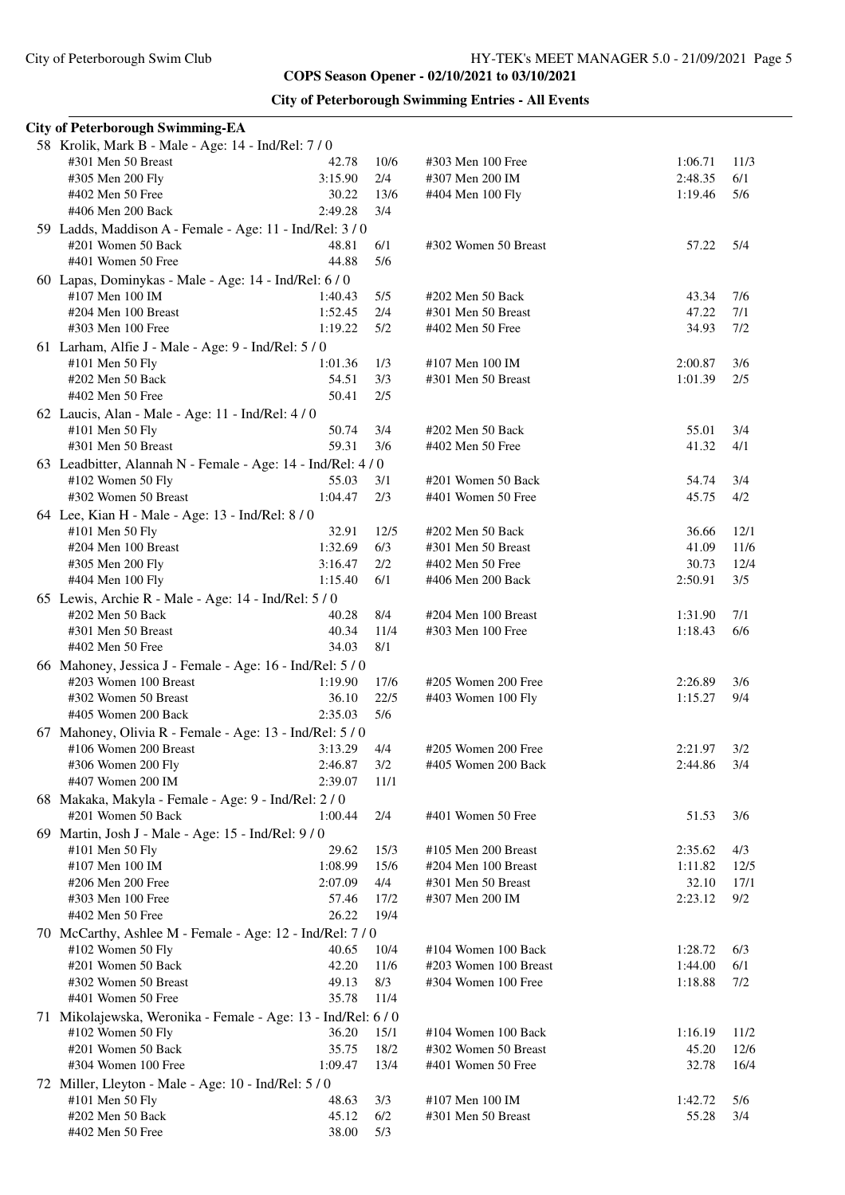| <b>City of Peterborough Swimming Entries - All Events</b> |  |  |  |
|-----------------------------------------------------------|--|--|--|
|-----------------------------------------------------------|--|--|--|

| <b>City of Peterborough Swimming-EA</b>                       |         |      |                       |         |       |
|---------------------------------------------------------------|---------|------|-----------------------|---------|-------|
| 58 Krolik, Mark B - Male - Age: 14 - Ind/Rel: 7 / 0           |         |      |                       |         |       |
| #301 Men 50 Breast                                            | 42.78   | 10/6 | #303 Men 100 Free     | 1:06.71 | 11/3  |
| #305 Men 200 Fly                                              | 3:15.90 | 2/4  | #307 Men 200 IM       | 2:48.35 | 6/1   |
| #402 Men 50 Free                                              | 30.22   | 13/6 | #404 Men 100 Fly      | 1:19.46 | 5/6   |
| #406 Men 200 Back                                             | 2:49.28 | 3/4  |                       |         |       |
| 59 Ladds, Maddison A - Female - Age: 11 - Ind/Rel: 3/0        |         |      |                       |         |       |
| #201 Women 50 Back                                            | 48.81   | 6/1  | #302 Women 50 Breast  | 57.22   | 5/4   |
| #401 Women 50 Free                                            | 44.88   | 5/6  |                       |         |       |
| 60 Lapas, Dominykas - Male - Age: 14 - Ind/Rel: 6 / 0         |         |      |                       |         |       |
| #107 Men 100 IM                                               | 1:40.43 | 5/5  | #202 Men 50 Back      | 43.34   | 7/6   |
| #204 Men 100 Breast                                           | 1:52.45 | 2/4  | #301 Men 50 Breast    | 47.22   | 7/1   |
| #303 Men 100 Free                                             | 1:19.22 | 5/2  | #402 Men 50 Free      | 34.93   | 7/2   |
| 61 Larham, Alfie J - Male - Age: 9 - Ind/Rel: 5 / 0           |         |      |                       |         |       |
| #101 Men 50 Fly                                               | 1:01.36 | 1/3  | #107 Men 100 IM       | 2:00.87 | 3/6   |
| #202 Men 50 Back                                              | 54.51   | 3/3  | #301 Men 50 Breast    | 1:01.39 | 2/5   |
| #402 Men 50 Free                                              | 50.41   | 2/5  |                       |         |       |
| 62 Laucis, Alan - Male - Age: 11 - Ind/Rel: 4/0               |         |      |                       |         |       |
| #101 Men 50 Fly                                               | 50.74   | 3/4  | #202 Men 50 Back      | 55.01   | 3/4   |
| #301 Men 50 Breast                                            | 59.31   | 3/6  | #402 Men 50 Free      | 41.32   | 4/1   |
| 63 Leadbitter, Alannah N - Female - Age: 14 - Ind/Rel: 4/0    |         |      |                       |         |       |
| #102 Women 50 Fly                                             | 55.03   | 3/1  | #201 Women 50 Back    | 54.74   | 3/4   |
| #302 Women 50 Breast                                          | 1:04.47 | 2/3  | #401 Women 50 Free    | 45.75   | 4/2   |
| 64 Lee, Kian H - Male - Age: 13 - Ind/Rel: 8 / 0              |         |      |                       |         |       |
| #101 Men 50 Fly                                               | 32.91   | 12/5 | #202 Men 50 Back      | 36.66   | 12/1  |
| #204 Men 100 Breast                                           | 1:32.69 | 6/3  | #301 Men 50 Breast    | 41.09   | 11/6  |
| #305 Men 200 Fly                                              | 3:16.47 | 2/2  | #402 Men 50 Free      | 30.73   | 12/4  |
| #404 Men 100 Fly                                              | 1:15.40 | 6/1  | #406 Men 200 Back     | 2:50.91 | 3/5   |
| 65 Lewis, Archie R - Male - Age: 14 - Ind/Rel: 5 / 0          |         |      |                       |         |       |
| #202 Men 50 Back                                              | 40.28   | 8/4  | #204 Men 100 Breast   | 1:31.90 | 7/1   |
| #301 Men 50 Breast                                            | 40.34   | 11/4 | #303 Men 100 Free     | 1:18.43 | $6/6$ |
| #402 Men 50 Free                                              | 34.03   | 8/1  |                       |         |       |
| 66 Mahoney, Jessica J - Female - Age: 16 - Ind/Rel: 5 / 0     |         |      |                       |         |       |
| #203 Women 100 Breast                                         | 1:19.90 | 17/6 | #205 Women 200 Free   | 2:26.89 | 3/6   |
| #302 Women 50 Breast                                          | 36.10   | 22/5 | #403 Women 100 Fly    | 1:15.27 | 9/4   |
| #405 Women 200 Back                                           | 2:35.03 | 5/6  |                       |         |       |
| 67 Mahoney, Olivia R - Female - Age: 13 - Ind/Rel: 5 / 0      |         |      |                       |         |       |
| #106 Women 200 Breast                                         | 3:13.29 | 4/4  | #205 Women 200 Free   | 2:21.97 | 3/2   |
| #306 Women 200 Fly                                            | 2:46.87 | 3/2  | #405 Women 200 Back   | 2:44.86 | 3/4   |
| #407 Women 200 IM                                             | 2:39.07 | 11/1 |                       |         |       |
| 68 Makaka, Makyla - Female - Age: 9 - Ind/Rel: 2 / 0          |         |      |                       |         |       |
| #201 Women 50 Back                                            | 1:00.44 | 2/4  | #401 Women 50 Free    | 51.53   | 3/6   |
| 69 Martin, Josh J - Male - Age: 15 - Ind/Rel: 9/0             |         |      |                       |         |       |
| #101 Men 50 Fly                                               | 29.62   | 15/3 | #105 Men 200 Breast   | 2:35.62 | 4/3   |
| #107 Men 100 IM                                               | 1:08.99 | 15/6 | #204 Men 100 Breast   | 1:11.82 | 12/5  |
| #206 Men 200 Free                                             | 2:07.09 | 4/4  | #301 Men 50 Breast    | 32.10   | 17/1  |
| #303 Men 100 Free                                             | 57.46   | 17/2 | #307 Men 200 IM       | 2:23.12 | 9/2   |
| #402 Men 50 Free                                              | 26.22   | 19/4 |                       |         |       |
| 70 McCarthy, Ashlee M - Female - Age: 12 - Ind/Rel: 7 / 0     |         |      |                       |         |       |
| #102 Women 50 Fly                                             | 40.65   | 10/4 | #104 Women 100 Back   | 1:28.72 | 6/3   |
| #201 Women 50 Back                                            | 42.20   | 11/6 | #203 Women 100 Breast | 1:44.00 | 6/1   |
| #302 Women 50 Breast                                          | 49.13   | 8/3  | #304 Women 100 Free   | 1:18.88 | 7/2   |
| #401 Women 50 Free                                            | 35.78   | 11/4 |                       |         |       |
| 71 Mikolajewska, Weronika - Female - Age: 13 - Ind/Rel: 6 / 0 |         |      |                       |         |       |
| #102 Women 50 Fly                                             | 36.20   | 15/1 | #104 Women 100 Back   | 1:16.19 | 11/2  |
| #201 Women 50 Back                                            | 35.75   | 18/2 | #302 Women 50 Breast  | 45.20   | 12/6  |
| #304 Women 100 Free                                           | 1:09.47 | 13/4 | #401 Women 50 Free    | 32.78   | 16/4  |
| 72 Miller, Lleyton - Male - Age: 10 - Ind/Rel: 5 / 0          |         |      |                       |         |       |
| #101 Men 50 Fly                                               | 48.63   | 3/3  | #107 Men 100 IM       | 1:42.72 | 5/6   |
| #202 Men 50 Back                                              | 45.12   | 6/2  | #301 Men 50 Breast    | 55.28   | 3/4   |
| #402 Men 50 Free                                              | 38.00   | 5/3  |                       |         |       |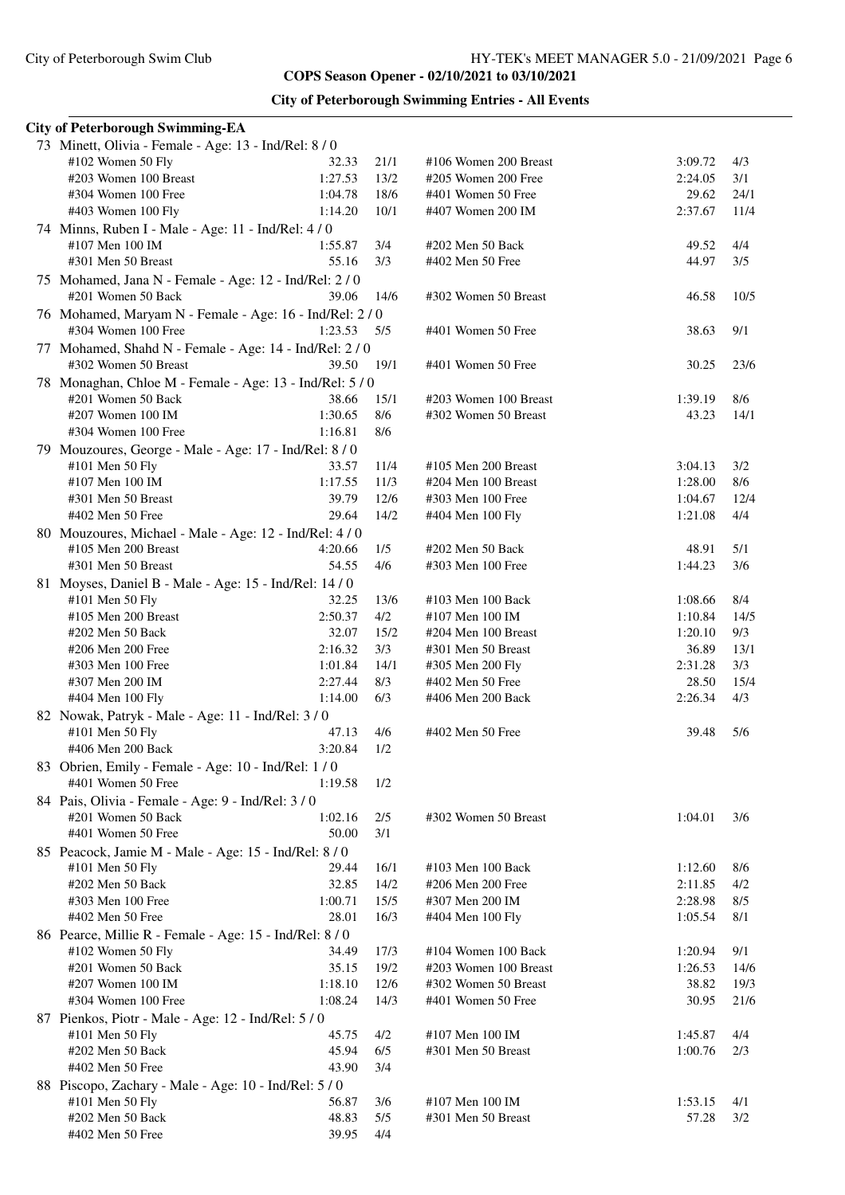|  | <b>City of Peterborough Swimming Entries - All Events</b> |  |  |  |
|--|-----------------------------------------------------------|--|--|--|
|--|-----------------------------------------------------------|--|--|--|

| <b>City of Peterborough Swimming-EA</b>                  |                  |             |                       |         |             |
|----------------------------------------------------------|------------------|-------------|-----------------------|---------|-------------|
| 73 Minett, Olivia - Female - Age: 13 - Ind/Rel: 8 / 0    |                  |             |                       |         |             |
| #102 Women 50 Fly                                        | 32.33            | 21/1        | #106 Women 200 Breast | 3:09.72 | 4/3         |
| #203 Women 100 Breast                                    | 1:27.53          | 13/2        | #205 Women 200 Free   | 2:24.05 | 3/1         |
| #304 Women 100 Free                                      | 1:04.78          | 18/6        | #401 Women 50 Free    | 29.62   | 24/1        |
| #403 Women 100 Fly                                       | 1:14.20          | 10/1        | #407 Women 200 IM     | 2:37.67 | 11/4        |
| 74 Minns, Ruben I - Male - Age: 11 - Ind/Rel: 4/0        |                  |             |                       |         |             |
| #107 Men 100 IM                                          | 1:55.87          | 3/4         | #202 Men 50 Back      | 49.52   | 4/4         |
| #301 Men 50 Breast                                       | 55.16            | 3/3         | #402 Men 50 Free      | 44.97   | 3/5         |
| 75 Mohamed, Jana N - Female - Age: 12 - Ind/Rel: 2 / 0   |                  |             |                       |         |             |
| #201 Women 50 Back                                       | 39.06            | 14/6        | #302 Women 50 Breast  | 46.58   | 10/5        |
| 76 Mohamed, Maryam N - Female - Age: 16 - Ind/Rel: 2 / 0 |                  |             |                       |         |             |
| #304 Women 100 Free                                      | 1:23.53          | 5/5         | #401 Women 50 Free    | 38.63   | 9/1         |
| 77 Mohamed, Shahd N - Female - Age: 14 - Ind/Rel: 2 / 0  |                  |             |                       |         |             |
| #302 Women 50 Breast                                     | 39.50            | 19/1        | #401 Women 50 Free    | 30.25   | 23/6        |
|                                                          |                  |             |                       |         |             |
| 78 Monaghan, Chloe M - Female - Age: 13 - Ind/Rel: 5 / 0 |                  |             | #203 Women 100 Breast |         |             |
| #201 Women 50 Back                                       | 38.66<br>1:30.65 | 15/1<br>8/6 |                       | 1:39.19 | 8/6<br>14/1 |
| #207 Women 100 IM<br>#304 Women 100 Free                 | 1:16.81          |             | #302 Women 50 Breast  | 43.23   |             |
|                                                          |                  | 8/6         |                       |         |             |
| 79 Mouzoures, George - Male - Age: 17 - Ind/Rel: 8 / 0   |                  |             |                       |         |             |
| #101 Men 50 Fly                                          | 33.57            | 11/4        | #105 Men 200 Breast   | 3:04.13 | 3/2         |
| #107 Men 100 IM                                          | 1:17.55          | 11/3        | #204 Men 100 Breast   | 1:28.00 | 8/6         |
| #301 Men 50 Breast                                       | 39.79            | 12/6        | #303 Men 100 Free     | 1:04.67 | 12/4        |
| #402 Men 50 Free                                         | 29.64            | 14/2        | #404 Men 100 Fly      | 1:21.08 | 4/4         |
| 80 Mouzoures, Michael - Male - Age: 12 - Ind/Rel: 4 / 0  |                  |             |                       |         |             |
| $#105$ Men 200 Breast                                    | 4:20.66          | 1/5         | #202 Men 50 Back      | 48.91   | 5/1         |
| #301 Men 50 Breast                                       | 54.55            | 4/6         | #303 Men 100 Free     | 1:44.23 | 3/6         |
| 81 Moyses, Daniel B - Male - Age: 15 - Ind/Rel: 14 / 0   |                  |             |                       |         |             |
| #101 Men 50 Fly                                          | 32.25            | 13/6        | #103 Men 100 Back     | 1:08.66 | 8/4         |
| #105 Men 200 Breast                                      | 2:50.37          | 4/2         | #107 Men 100 IM       | 1:10.84 | 14/5        |
| #202 Men 50 Back                                         | 32.07            | 15/2        | #204 Men 100 Breast   | 1:20.10 | 9/3         |
| #206 Men 200 Free                                        | 2:16.32          | 3/3         | #301 Men 50 Breast    | 36.89   | 13/1        |
| #303 Men 100 Free                                        | 1:01.84          | 14/1        | #305 Men 200 Fly      | 2:31.28 | 3/3         |
| #307 Men 200 IM                                          | 2:27.44          | 8/3         | #402 Men 50 Free      | 28.50   | 15/4        |
| #404 Men 100 Fly                                         | 1:14.00          | 6/3         | #406 Men 200 Back     | 2:26.34 | 4/3         |
| 82 Nowak, Patryk - Male - Age: 11 - Ind/Rel: 3 / 0       |                  |             |                       |         |             |
| #101 Men 50 Fly                                          | 47.13            | 4/6         | #402 Men 50 Free      | 39.48   | 5/6         |
| #406 Men 200 Back                                        | 3:20.84          | 1/2         |                       |         |             |
| 83 Obrien, Emily - Female - Age: 10 - Ind/Rel: 1/0       |                  |             |                       |         |             |
| #401 Women 50 Free                                       | 1:19.58          | 1/2         |                       |         |             |
| 84 Pais, Olivia - Female - Age: 9 - Ind/Rel: 3 / 0       |                  |             |                       |         |             |
| #201 Women 50 Back                                       | 1:02.16          | 2/5         | #302 Women 50 Breast  | 1:04.01 | 3/6         |
| #401 Women 50 Free                                       | 50.00            | 3/1         |                       |         |             |
| 85 Peacock, Jamie M - Male - Age: 15 - Ind/Rel: 8 / 0    |                  |             |                       |         |             |
| #101 Men 50 Fly                                          | 29.44            | 16/1        | #103 Men 100 Back     | 1:12.60 | 8/6         |
| #202 Men 50 Back                                         | 32.85            | 14/2        | #206 Men 200 Free     | 2:11.85 | 4/2         |
| #303 Men 100 Free                                        | 1:00.71          | 15/5        | #307 Men 200 IM       | 2:28.98 | 8/5         |
| #402 Men 50 Free                                         | 28.01            | 16/3        | #404 Men 100 Fly      | 1:05.54 | 8/1         |
| 86 Pearce, Millie R - Female - Age: 15 - Ind/Rel: 8 / 0  |                  |             |                       |         |             |
| $#102$ Women 50 Fly                                      | 34.49            | 17/3        | #104 Women 100 Back   | 1:20.94 | 9/1         |
| #201 Women 50 Back                                       | 35.15            | 19/2        | #203 Women 100 Breast | 1:26.53 | 14/6        |
| #207 Women 100 IM                                        | 1:18.10          | 12/6        | #302 Women 50 Breast  | 38.82   | 19/3        |
| #304 Women 100 Free                                      | 1:08.24          | 14/3        | #401 Women 50 Free    | 30.95   | 21/6        |
|                                                          |                  |             |                       |         |             |
| 87 Pienkos, Piotr - Male - Age: 12 - Ind/Rel: 5 / 0      |                  |             |                       |         |             |
| #101 Men 50 Fly                                          | 45.75            | 4/2         | #107 Men 100 IM       | 1:45.87 | 4/4         |
| #202 Men 50 Back                                         | 45.94            | 6/5         | #301 Men 50 Breast    | 1:00.76 | 2/3         |
| #402 Men 50 Free                                         | 43.90            | 3/4         |                       |         |             |
| 88 Piscopo, Zachary - Male - Age: 10 - Ind/Rel: 5 / 0    |                  |             |                       |         |             |
| #101 Men 50 Fly                                          | 56.87            | 3/6         | #107 Men 100 IM       | 1:53.15 | 4/1         |
| #202 Men 50 Back                                         | 48.83            | 5/5         | #301 Men 50 Breast    | 57.28   | 3/2         |
| #402 Men 50 Free                                         | 39.95            | 4/4         |                       |         |             |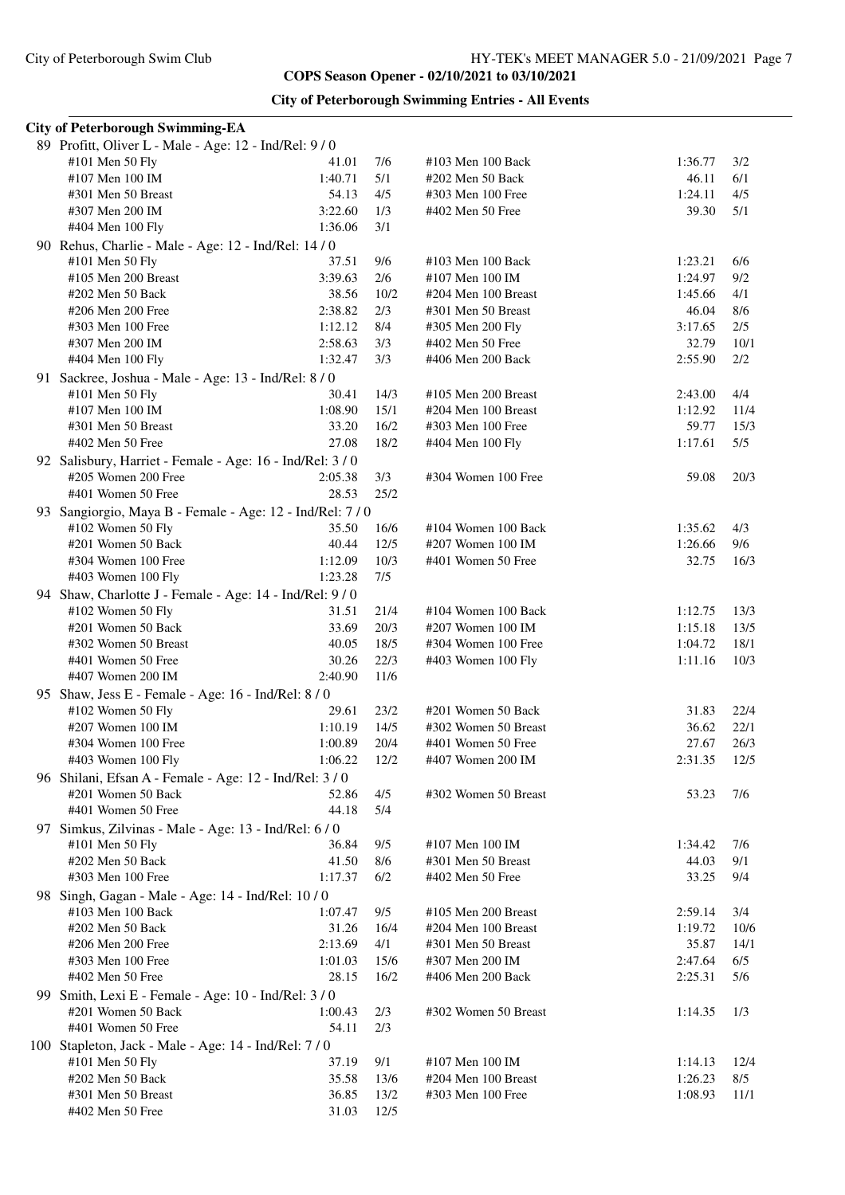| <b>City of Peterborough Swimming Entries - All Events</b> |  |  |  |
|-----------------------------------------------------------|--|--|--|
|-----------------------------------------------------------|--|--|--|

| <b>City of Peterborough Swimming-EA</b>                 |         |      |                      |         |      |  |  |
|---------------------------------------------------------|---------|------|----------------------|---------|------|--|--|
| 89 Profitt, Oliver L - Male - Age: 12 - Ind/Rel: 9/0    |         |      |                      |         |      |  |  |
| #101 Men 50 Fly                                         | 41.01   | 7/6  | #103 Men 100 Back    | 1:36.77 | 3/2  |  |  |
| #107 Men 100 IM                                         | 1:40.71 | 5/1  | #202 Men 50 Back     | 46.11   | 6/1  |  |  |
| #301 Men 50 Breast                                      | 54.13   | 4/5  | #303 Men 100 Free    | 1:24.11 | 4/5  |  |  |
| #307 Men 200 IM                                         | 3:22.60 | 1/3  | #402 Men 50 Free     | 39.30   | 5/1  |  |  |
| #404 Men 100 Fly                                        | 1:36.06 | 3/1  |                      |         |      |  |  |
| 90 Rehus, Charlie - Male - Age: 12 - Ind/Rel: 14 / 0    |         |      |                      |         |      |  |  |
| #101 Men 50 Fly                                         | 37.51   | 9/6  | #103 Men 100 Back    | 1:23.21 | 6/6  |  |  |
| #105 Men 200 Breast                                     | 3:39.63 | 2/6  | #107 Men 100 IM      | 1:24.97 | 9/2  |  |  |
| #202 Men 50 Back                                        | 38.56   | 10/2 | #204 Men 100 Breast  | 1:45.66 | 4/1  |  |  |
| #206 Men 200 Free                                       | 2:38.82 | 2/3  | #301 Men 50 Breast   | 46.04   | 8/6  |  |  |
| #303 Men 100 Free                                       | 1:12.12 | 8/4  | #305 Men 200 Fly     | 3:17.65 | 2/5  |  |  |
| #307 Men 200 IM                                         | 2:58.63 | 3/3  | #402 Men 50 Free     | 32.79   | 10/1 |  |  |
| #404 Men 100 Fly                                        | 1:32.47 | 3/3  | #406 Men 200 Back    | 2:55.90 | 2/2  |  |  |
| 91 Sackree, Joshua - Male - Age: 13 - Ind/Rel: 8 / 0    |         |      |                      |         |      |  |  |
| #101 Men 50 Fly                                         | 30.41   | 14/3 | #105 Men 200 Breast  | 2:43.00 | 4/4  |  |  |
| #107 Men 100 IM                                         | 1:08.90 | 15/1 | #204 Men 100 Breast  | 1:12.92 | 11/4 |  |  |
| #301 Men 50 Breast                                      | 33.20   | 16/2 | #303 Men 100 Free    | 59.77   | 15/3 |  |  |
| #402 Men 50 Free                                        | 27.08   | 18/2 | #404 Men 100 Fly     | 1:17.61 | 5/5  |  |  |
| 92 Salisbury, Harriet - Female - Age: 16 - Ind/Rel: 3/0 |         |      |                      |         |      |  |  |
| #205 Women 200 Free                                     | 2:05.38 | 3/3  | #304 Women 100 Free  | 59.08   | 20/3 |  |  |
| #401 Women 50 Free                                      | 28.53   | 25/2 |                      |         |      |  |  |
| 93 Sangiorgio, Maya B - Female - Age: 12 - Ind/Rel: 7/0 |         |      |                      |         |      |  |  |
| #102 Women 50 Fly                                       | 35.50   | 16/6 | #104 Women 100 Back  | 1:35.62 | 4/3  |  |  |
| #201 Women 50 Back                                      | 40.44   | 12/5 | #207 Women 100 IM    | 1:26.66 | 9/6  |  |  |
| #304 Women 100 Free                                     | 1:12.09 | 10/3 | #401 Women 50 Free   | 32.75   | 16/3 |  |  |
| #403 Women 100 Fly                                      | 1:23.28 | 7/5  |                      |         |      |  |  |
| 94 Shaw, Charlotte J - Female - Age: 14 - Ind/Rel: 9/0  |         |      |                      |         |      |  |  |
| #102 Women 50 Fly                                       | 31.51   | 21/4 | #104 Women 100 Back  | 1:12.75 | 13/3 |  |  |
| #201 Women 50 Back                                      | 33.69   | 20/3 | #207 Women 100 IM    | 1:15.18 | 13/5 |  |  |
| #302 Women 50 Breast                                    | 40.05   | 18/5 | #304 Women 100 Free  | 1:04.72 | 18/1 |  |  |
| #401 Women 50 Free                                      | 30.26   | 22/3 | #403 Women 100 Fly   | 1:11.16 | 10/3 |  |  |
| #407 Women 200 IM                                       | 2:40.90 | 11/6 |                      |         |      |  |  |
| 95 Shaw, Jess E - Female - Age: 16 - Ind/Rel: 8 / 0     |         |      |                      |         |      |  |  |
| #102 Women 50 Fly                                       | 29.61   | 23/2 | #201 Women 50 Back   | 31.83   | 22/4 |  |  |
| #207 Women 100 IM                                       | 1:10.19 | 14/5 | #302 Women 50 Breast | 36.62   | 22/1 |  |  |
| #304 Women 100 Free                                     | 1:00.89 | 20/4 | #401 Women 50 Free   | 27.67   | 26/3 |  |  |
| #403 Women 100 Fly                                      | 1:06.22 | 12/2 | #407 Women 200 IM    | 2:31.35 | 12/5 |  |  |
| 96 Shilani, Efsan A - Female - Age: 12 - Ind/Rel: 3 / 0 |         |      |                      |         |      |  |  |
| #201 Women 50 Back                                      | 52.86   | 4/5  | #302 Women 50 Breast | 53.23   | 7/6  |  |  |
| #401 Women 50 Free                                      | 44.18   | 5/4  |                      |         |      |  |  |
| 97 Simkus, Zilvinas - Male - Age: 13 - Ind/Rel: 6/0     |         |      |                      |         |      |  |  |
| #101 Men 50 Fly                                         | 36.84   | 9/5  | #107 Men 100 IM      | 1:34.42 | 7/6  |  |  |
| #202 Men 50 Back                                        | 41.50   | 8/6  | #301 Men 50 Breast   | 44.03   | 9/1  |  |  |
| #303 Men 100 Free                                       | 1:17.37 | 6/2  | #402 Men 50 Free     | 33.25   | 9/4  |  |  |
| 98 Singh, Gagan - Male - Age: 14 - Ind/Rel: 10/0        |         |      |                      |         |      |  |  |
| #103 Men 100 Back                                       | 1:07.47 | 9/5  | #105 Men 200 Breast  | 2:59.14 | 3/4  |  |  |
| #202 Men 50 Back                                        | 31.26   | 16/4 | #204 Men 100 Breast  | 1:19.72 | 10/6 |  |  |
| #206 Men 200 Free                                       | 2:13.69 | 4/1  | #301 Men 50 Breast   | 35.87   | 14/1 |  |  |
| #303 Men 100 Free                                       | 1:01.03 | 15/6 | #307 Men 200 IM      | 2:47.64 | 6/5  |  |  |
| #402 Men 50 Free                                        | 28.15   | 16/2 | #406 Men 200 Back    | 2:25.31 | 5/6  |  |  |
| 99 Smith, Lexi E - Female - Age: 10 - Ind/Rel: 3 / 0    |         |      |                      |         |      |  |  |
| #201 Women 50 Back                                      | 1:00.43 | 2/3  | #302 Women 50 Breast | 1:14.35 | 1/3  |  |  |
| #401 Women 50 Free                                      | 54.11   | 2/3  |                      |         |      |  |  |
| 100 Stapleton, Jack - Male - Age: 14 - Ind/Rel: 7 / 0   |         |      |                      |         |      |  |  |
| #101 Men 50 Fly                                         | 37.19   | 9/1  | #107 Men 100 IM      | 1:14.13 | 12/4 |  |  |
| #202 Men 50 Back                                        | 35.58   | 13/6 | #204 Men 100 Breast  | 1:26.23 | 8/5  |  |  |
| #301 Men 50 Breast                                      | 36.85   | 13/2 | #303 Men 100 Free    | 1:08.93 | 11/1 |  |  |
| #402 Men 50 Free                                        | 31.03   | 12/5 |                      |         |      |  |  |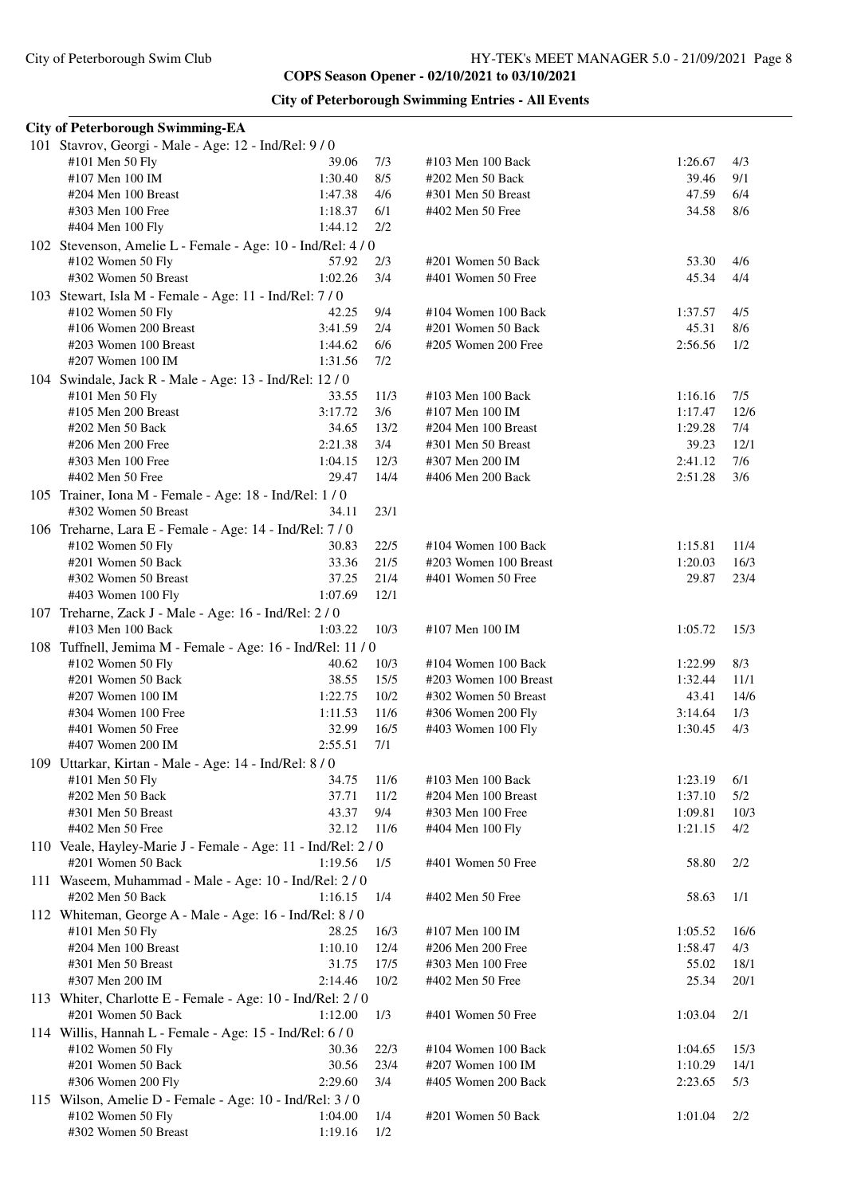## **City of Peterborough Swimming Entries - All Events**

| <b>City of Peterborough Swimming-EA</b>                     |         |      |                       |         |      |  |  |  |
|-------------------------------------------------------------|---------|------|-----------------------|---------|------|--|--|--|
| 101 Stavrov, Georgi - Male - Age: 12 - Ind/Rel: 9/0         |         |      |                       |         |      |  |  |  |
| #101 Men 50 Fly                                             | 39.06   | 7/3  | #103 Men 100 Back     | 1:26.67 | 4/3  |  |  |  |
| #107 Men 100 IM                                             | 1:30.40 | 8/5  | #202 Men 50 Back      | 39.46   | 9/1  |  |  |  |
| #204 Men 100 Breast                                         | 1:47.38 | 4/6  | #301 Men 50 Breast    | 47.59   | 6/4  |  |  |  |
| #303 Men 100 Free                                           | 1:18.37 | 6/1  | #402 Men 50 Free      | 34.58   | 8/6  |  |  |  |
| #404 Men 100 Fly                                            | 1:44.12 | 2/2  |                       |         |      |  |  |  |
| 102 Stevenson, Amelie L - Female - Age: 10 - Ind/Rel: 4/0   |         |      |                       |         |      |  |  |  |
| #102 Women 50 Fly                                           | 57.92   | 2/3  | #201 Women 50 Back    | 53.30   | 4/6  |  |  |  |
| #302 Women 50 Breast                                        | 1:02.26 | 3/4  | #401 Women 50 Free    | 45.34   | 4/4  |  |  |  |
| 103 Stewart, Isla M - Female - Age: 11 - Ind/Rel: 7 / 0     |         |      |                       |         |      |  |  |  |
| #102 Women 50 Fly                                           | 42.25   | 9/4  | #104 Women 100 Back   | 1:37.57 | 4/5  |  |  |  |
| #106 Women 200 Breast                                       | 3:41.59 | 2/4  | #201 Women 50 Back    | 45.31   | 8/6  |  |  |  |
| #203 Women 100 Breast                                       | 1:44.62 | 6/6  | #205 Women 200 Free   | 2:56.56 | 1/2  |  |  |  |
| #207 Women 100 IM                                           | 1:31.56 | 7/2  |                       |         |      |  |  |  |
| 104 Swindale, Jack R - Male - Age: 13 - Ind/Rel: 12 / 0     |         |      |                       |         |      |  |  |  |
| #101 Men 50 Fly                                             | 33.55   | 11/3 | #103 Men 100 Back     | 1:16.16 | 7/5  |  |  |  |
| #105 Men 200 Breast                                         | 3:17.72 | 3/6  | #107 Men 100 IM       | 1:17.47 | 12/6 |  |  |  |
| #202 Men 50 Back                                            | 34.65   | 13/2 | #204 Men 100 Breast   | 1:29.28 | 7/4  |  |  |  |
| #206 Men 200 Free                                           | 2:21.38 | 3/4  | #301 Men 50 Breast    | 39.23   | 12/1 |  |  |  |
| #303 Men 100 Free                                           | 1:04.15 | 12/3 | #307 Men 200 IM       | 2:41.12 | 7/6  |  |  |  |
| #402 Men 50 Free                                            | 29.47   | 14/4 | #406 Men 200 Back     | 2:51.28 | 3/6  |  |  |  |
| 105 Trainer, Iona M - Female - Age: 18 - Ind/Rel: 1/0       |         |      |                       |         |      |  |  |  |
| #302 Women 50 Breast                                        | 34.11   | 23/1 |                       |         |      |  |  |  |
| 106 Treharne, Lara E - Female - Age: 14 - Ind/Rel: 7/0      |         |      |                       |         |      |  |  |  |
| #102 Women 50 Fly                                           | 30.83   | 22/5 | #104 Women 100 Back   | 1:15.81 | 11/4 |  |  |  |
| #201 Women 50 Back                                          | 33.36   | 21/5 | #203 Women 100 Breast | 1:20.03 | 16/3 |  |  |  |
| #302 Women 50 Breast                                        | 37.25   | 21/4 | #401 Women 50 Free    | 29.87   | 23/4 |  |  |  |
| #403 Women 100 Fly                                          | 1:07.69 | 12/1 |                       |         |      |  |  |  |
| 107 Treharne, Zack J - Male - Age: 16 - Ind/Rel: 2/0        |         |      |                       |         |      |  |  |  |
| #103 Men 100 Back                                           | 1:03.22 | 10/3 | #107 Men 100 IM       | 1:05.72 | 15/3 |  |  |  |
| 108 Tuffnell, Jemima M - Female - Age: 16 - Ind/Rel: 11 / 0 |         |      |                       |         |      |  |  |  |
| #102 Women 50 Fly                                           | 40.62   | 10/3 | #104 Women 100 Back   | 1:22.99 | 8/3  |  |  |  |
| #201 Women 50 Back                                          | 38.55   | 15/5 | #203 Women 100 Breast | 1:32.44 | 11/1 |  |  |  |
| $#207$ Women 100 IM                                         | 1:22.75 | 10/2 | #302 Women 50 Breast  | 43.41   | 14/6 |  |  |  |
| #304 Women 100 Free                                         | 1:11.53 | 11/6 | #306 Women 200 Fly    | 3:14.64 | 1/3  |  |  |  |
| #401 Women 50 Free                                          | 32.99   | 16/5 | #403 Women 100 Fly    | 1:30.45 | 4/3  |  |  |  |
| #407 Women 200 IM                                           | 2:55.51 | 7/1  |                       |         |      |  |  |  |
| 109 Uttarkar, Kirtan - Male - Age: 14 - Ind/Rel: 8 / 0      |         |      |                       |         |      |  |  |  |
| #101 Men 50 Fly                                             | 34.75   | 11/6 | #103 Men 100 Back     | 1:23.19 | 6/1  |  |  |  |
| #202 Men 50 Back                                            | 37.71   | 11/2 | #204 Men 100 Breast   | 1:37.10 | 5/2  |  |  |  |
| #301 Men 50 Breast                                          | 43.37   | 9/4  | #303 Men 100 Free     | 1:09.81 | 10/3 |  |  |  |
| #402 Men 50 Free                                            | 32.12   | 11/6 | #404 Men 100 Fly      | 1:21.15 | 4/2  |  |  |  |
| 110 Veale, Hayley-Marie J - Female - Age: 11 - Ind/Rel: 2/0 |         |      |                       |         |      |  |  |  |
| #201 Women 50 Back                                          | 1:19.56 | 1/5  | #401 Women 50 Free    | 58.80   | 2/2  |  |  |  |
| 111 Waseem, Muhammad - Male - Age: 10 - Ind/Rel: 2/0        |         |      |                       |         |      |  |  |  |
| #202 Men 50 Back                                            | 1:16.15 | 1/4  | #402 Men 50 Free      | 58.63   | 1/1  |  |  |  |
| 112 Whiteman, George A - Male - Age: 16 - Ind/Rel: 8 / 0    |         |      |                       |         |      |  |  |  |
| #101 Men 50 Fly                                             | 28.25   | 16/3 | #107 Men 100 IM       | 1:05.52 | 16/6 |  |  |  |
| #204 Men 100 Breast                                         | 1:10.10 | 12/4 | #206 Men 200 Free     | 1:58.47 | 4/3  |  |  |  |
| #301 Men 50 Breast                                          | 31.75   | 17/5 | #303 Men 100 Free     | 55.02   | 18/1 |  |  |  |
| #307 Men 200 IM                                             | 2:14.46 | 10/2 | #402 Men 50 Free      | 25.34   | 20/1 |  |  |  |
| 113 Whiter, Charlotte E - Female - Age: 10 - Ind/Rel: 2 / 0 |         |      |                       |         |      |  |  |  |
| #201 Women 50 Back                                          | 1:12.00 | 1/3  | #401 Women 50 Free    | 1:03.04 | 2/1  |  |  |  |
| 114 Willis, Hannah L - Female - Age: 15 - Ind/Rel: 6/0      |         |      |                       |         |      |  |  |  |
| #102 Women 50 Fly                                           | 30.36   | 22/3 | #104 Women 100 Back   | 1:04.65 | 15/3 |  |  |  |
| #201 Women 50 Back                                          | 30.56   | 23/4 | #207 Women 100 IM     | 1:10.29 | 14/1 |  |  |  |
| #306 Women 200 Fly                                          | 2:29.60 | 3/4  | #405 Women 200 Back   | 2:23.65 | 5/3  |  |  |  |
| 115 Wilson, Amelie D - Female - Age: 10 - Ind/Rel: 3/0      |         |      |                       |         |      |  |  |  |
| #102 Women 50 Fly                                           | 1:04.00 | 1/4  | #201 Women 50 Back    | 1:01.04 | 2/2  |  |  |  |
| #302 Women 50 Breast                                        | 1:19.16 | 1/2  |                       |         |      |  |  |  |